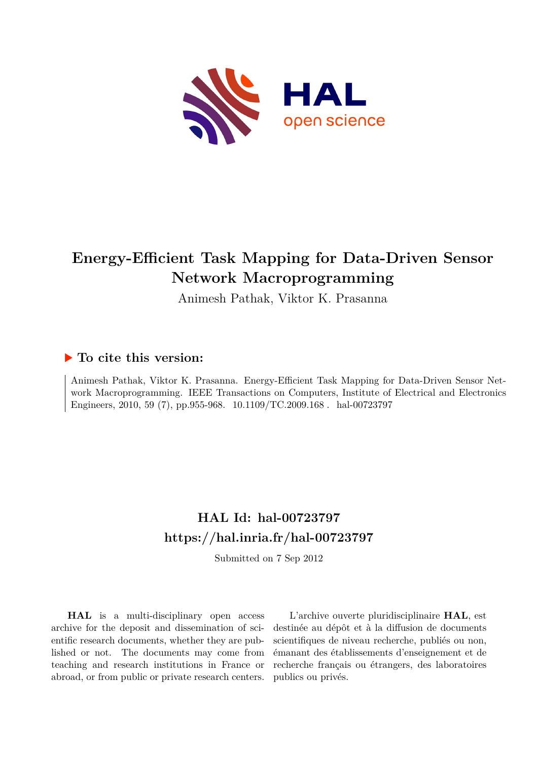

# **Energy-Efficient Task Mapping for Data-Driven Sensor Network Macroprogramming**

Animesh Pathak, Viktor K. Prasanna

# **To cite this version:**

Animesh Pathak, Viktor K. Prasanna. Energy-Efficient Task Mapping for Data-Driven Sensor Network Macroprogramming. IEEE Transactions on Computers, Institute of Electrical and Electronics Engineers, 2010, 59 (7), pp.955-968.  $10.1109/TC.2009.168$ . hal-00723797

# **HAL Id: hal-00723797 <https://hal.inria.fr/hal-00723797>**

Submitted on 7 Sep 2012

**HAL** is a multi-disciplinary open access archive for the deposit and dissemination of scientific research documents, whether they are published or not. The documents may come from teaching and research institutions in France or abroad, or from public or private research centers.

L'archive ouverte pluridisciplinaire **HAL**, est destinée au dépôt et à la diffusion de documents scientifiques de niveau recherche, publiés ou non, émanant des établissements d'enseignement et de recherche français ou étrangers, des laboratoires publics ou privés.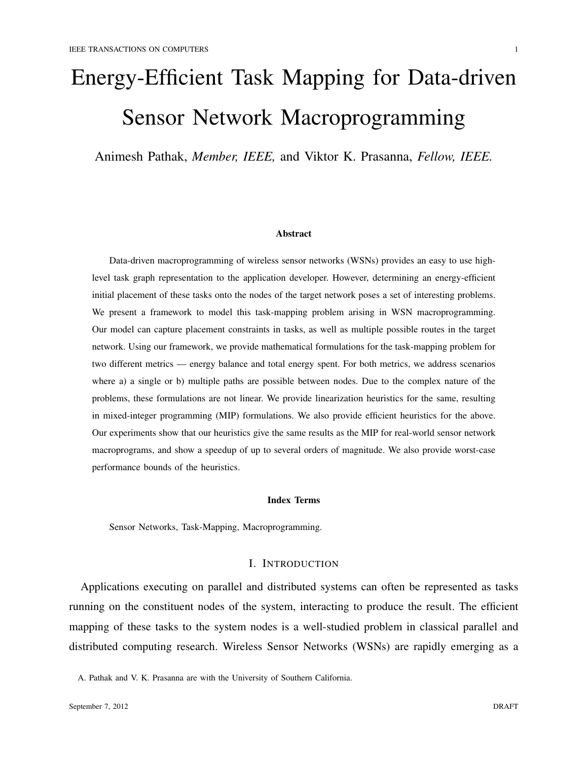# Energy-Efficient Task Mapping for Data-driven Sensor Network Macroprogramming

Animesh Pathak, *Member, IEEE,* and Viktor K. Prasanna, *Fellow, IEEE.*

#### Abstract

Data-driven macroprogramming of wireless sensor networks (WSNs) provides an easy to use highlevel task graph representation to the application developer. However, determining an energy-efficient initial placement of these tasks onto the nodes of the target network poses a set of interesting problems. We present a framework to model this task-mapping problem arising in WSN macroprogramming. Our model can capture placement constraints in tasks, as well as multiple possible routes in the target network. Using our framework, we provide mathematical formulations for the task-mapping problem for two different metrics — energy balance and total energy spent. For both metrics, we address scenarios where a) a single or b) multiple paths are possible between nodes. Due to the complex nature of the problems, these formulations are not linear. We provide linearization heuristics for the same, resulting in mixed-integer programming (MIP) formulations. We also provide efficient heuristics for the above. Our experiments show that our heuristics give the same results as the MIP for real-world sensor network macroprograms, and show a speedup of up to several orders of magnitude. We also provide worst-case performance bounds of the heuristics.

#### Index Terms

Sensor Networks, Task-Mapping, Macroprogramming.

#### I. INTRODUCTION

Applications executing on parallel and distributed systems can often be represented as tasks running on the constituent nodes of the system, interacting to produce the result. The efficient mapping of these tasks to the system nodes is a well-studied problem in classical parallel and distributed computing research. Wireless Sensor Networks (WSNs) are rapidly emerging as a

A. Pathak and V. K. Prasanna are with the University of Southern California.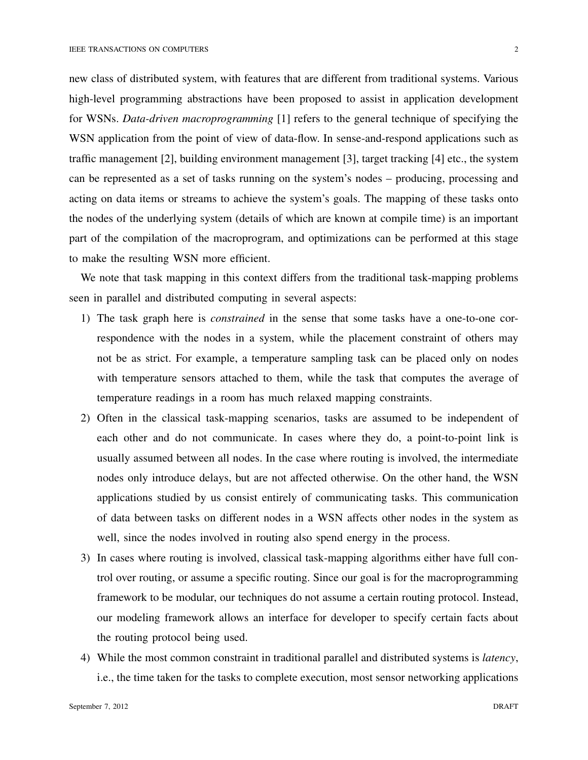new class of distributed system, with features that are different from traditional systems. Various high-level programming abstractions have been proposed to assist in application development for WSNs. *Data-driven macroprogramming* [1] refers to the general technique of specifying the WSN application from the point of view of data-flow. In sense-and-respond applications such as

traffic management [2], building environment management [3], target tracking [4] etc., the system can be represented as a set of tasks running on the system's nodes – producing, processing and acting on data items or streams to achieve the system's goals. The mapping of these tasks onto the nodes of the underlying system (details of which are known at compile time) is an important part of the compilation of the macroprogram, and optimizations can be performed at this stage to make the resulting WSN more efficient.

We note that task mapping in this context differs from the traditional task-mapping problems seen in parallel and distributed computing in several aspects:

- 1) The task graph here is *constrained* in the sense that some tasks have a one-to-one correspondence with the nodes in a system, while the placement constraint of others may not be as strict. For example, a temperature sampling task can be placed only on nodes with temperature sensors attached to them, while the task that computes the average of temperature readings in a room has much relaxed mapping constraints.
- 2) Often in the classical task-mapping scenarios, tasks are assumed to be independent of each other and do not communicate. In cases where they do, a point-to-point link is usually assumed between all nodes. In the case where routing is involved, the intermediate nodes only introduce delays, but are not affected otherwise. On the other hand, the WSN applications studied by us consist entirely of communicating tasks. This communication of data between tasks on different nodes in a WSN affects other nodes in the system as well, since the nodes involved in routing also spend energy in the process.
- 3) In cases where routing is involved, classical task-mapping algorithms either have full control over routing, or assume a specific routing. Since our goal is for the macroprogramming framework to be modular, our techniques do not assume a certain routing protocol. Instead, our modeling framework allows an interface for developer to specify certain facts about the routing protocol being used.
- 4) While the most common constraint in traditional parallel and distributed systems is *latency*, i.e., the time taken for the tasks to complete execution, most sensor networking applications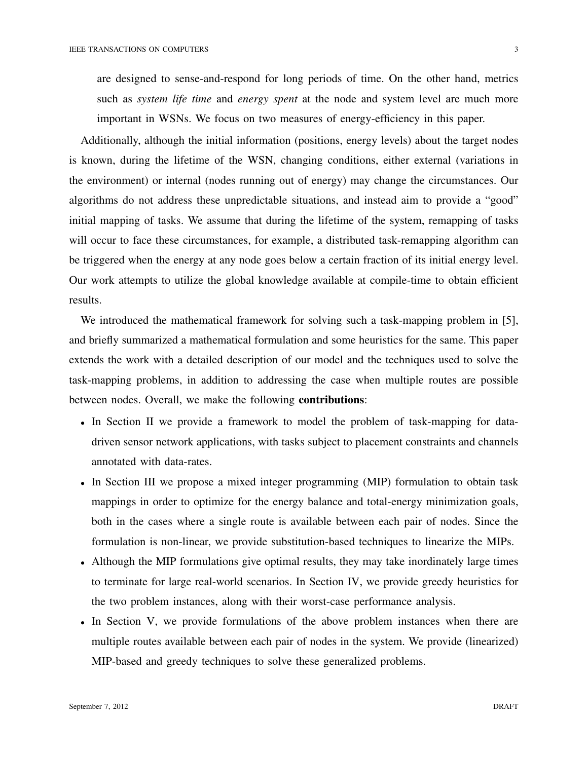are designed to sense-and-respond for long periods of time. On the other hand, metrics such as *system life time* and *energy spent* at the node and system level are much more important in WSNs. We focus on two measures of energy-efficiency in this paper.

Additionally, although the initial information (positions, energy levels) about the target nodes is known, during the lifetime of the WSN, changing conditions, either external (variations in the environment) or internal (nodes running out of energy) may change the circumstances. Our algorithms do not address these unpredictable situations, and instead aim to provide a "good" initial mapping of tasks. We assume that during the lifetime of the system, remapping of tasks will occur to face these circumstances, for example, a distributed task-remapping algorithm can be triggered when the energy at any node goes below a certain fraction of its initial energy level. Our work attempts to utilize the global knowledge available at compile-time to obtain efficient results.

We introduced the mathematical framework for solving such a task-mapping problem in [5], and briefly summarized a mathematical formulation and some heuristics for the same. This paper extends the work with a detailed description of our model and the techniques used to solve the task-mapping problems, in addition to addressing the case when multiple routes are possible between nodes. Overall, we make the following contributions:

- In Section II we provide a framework to model the problem of task-mapping for datadriven sensor network applications, with tasks subject to placement constraints and channels annotated with data-rates.
- In Section III we propose a mixed integer programming (MIP) formulation to obtain task mappings in order to optimize for the energy balance and total-energy minimization goals, both in the cases where a single route is available between each pair of nodes. Since the formulation is non-linear, we provide substitution-based techniques to linearize the MIPs.
- Although the MIP formulations give optimal results, they may take inordinately large times to terminate for large real-world scenarios. In Section IV, we provide greedy heuristics for the two problem instances, along with their worst-case performance analysis.
- In Section V, we provide formulations of the above problem instances when there are multiple routes available between each pair of nodes in the system. We provide (linearized) MIP-based and greedy techniques to solve these generalized problems.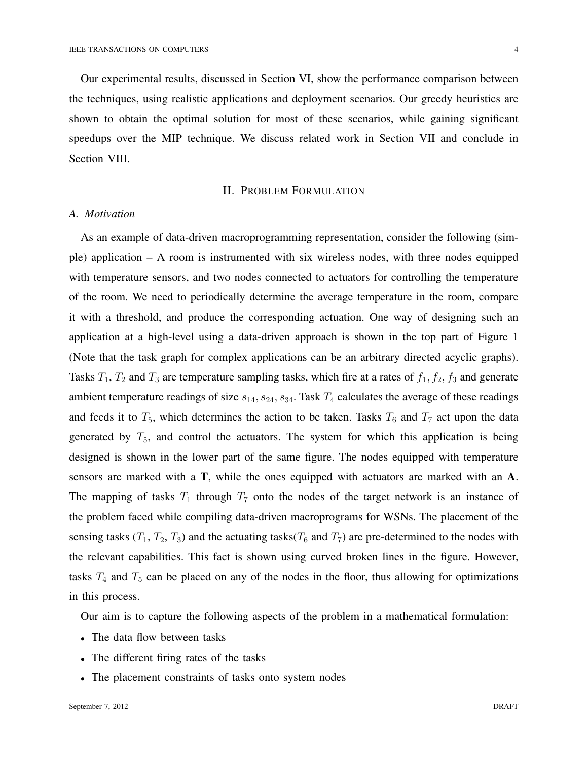Our experimental results, discussed in Section VI, show the performance comparison between the techniques, using realistic applications and deployment scenarios. Our greedy heuristics are

shown to obtain the optimal solution for most of these scenarios, while gaining significant speedups over the MIP technique. We discuss related work in Section VII and conclude in Section VIII.

# II. PROBLEM FORMULATION

# *A. Motivation*

As an example of data-driven macroprogramming representation, consider the following (simple) application – A room is instrumented with six wireless nodes, with three nodes equipped with temperature sensors, and two nodes connected to actuators for controlling the temperature of the room. We need to periodically determine the average temperature in the room, compare it with a threshold, and produce the corresponding actuation. One way of designing such an application at a high-level using a data-driven approach is shown in the top part of Figure 1 (Note that the task graph for complex applications can be an arbitrary directed acyclic graphs). Tasks  $T_1$ ,  $T_2$  and  $T_3$  are temperature sampling tasks, which fire at a rates of  $f_1$ ,  $f_2$ ,  $f_3$  and generate ambient temperature readings of size  $s_{14}$ ,  $s_{24}$ ,  $s_{34}$ . Task  $T_4$  calculates the average of these readings and feeds it to  $T_5$ , which determines the action to be taken. Tasks  $T_6$  and  $T_7$  act upon the data generated by  $T_5$ , and control the actuators. The system for which this application is being designed is shown in the lower part of the same figure. The nodes equipped with temperature sensors are marked with a T, while the ones equipped with actuators are marked with an A. The mapping of tasks  $T_1$  through  $T_7$  onto the nodes of the target network is an instance of the problem faced while compiling data-driven macroprograms for WSNs. The placement of the sensing tasks  $(T_1, T_2, T_3)$  and the actuating tasks  $(T_6$  and  $T_7)$  are pre-determined to the nodes with the relevant capabilities. This fact is shown using curved broken lines in the figure. However, tasks  $T_4$  and  $T_5$  can be placed on any of the nodes in the floor, thus allowing for optimizations in this process.

Our aim is to capture the following aspects of the problem in a mathematical formulation:

- The data flow between tasks
- The different firing rates of the tasks
- The placement constraints of tasks onto system nodes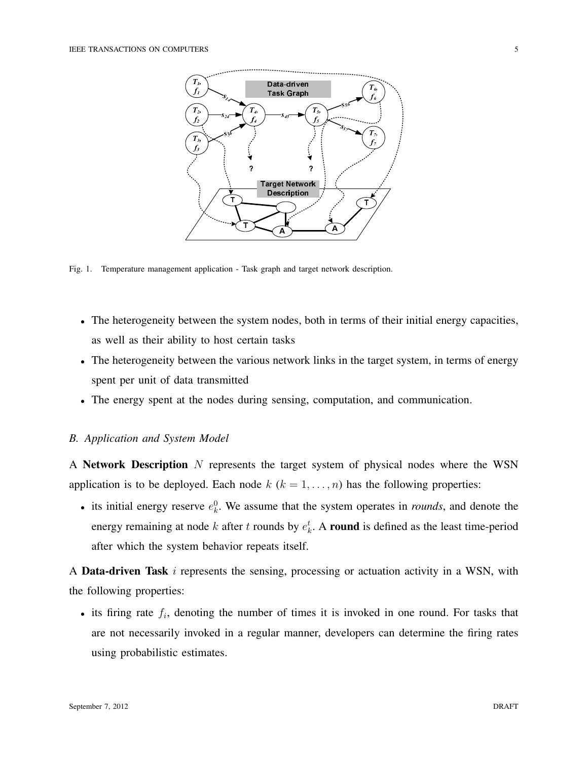

Fig. 1. Temperature management application - Task graph and target network description.

- The heterogeneity between the system nodes, both in terms of their initial energy capacities, as well as their ability to host certain tasks
- The heterogeneity between the various network links in the target system, in terms of energy spent per unit of data transmitted
- The energy spent at the nodes during sensing, computation, and communication.

# *B. Application and System Model*

A Network Description  $N$  represents the target system of physical nodes where the WSN application is to be deployed. Each node  $k$  ( $k = 1, \ldots, n$ ) has the following properties:

• its initial energy reserve  $e_k^0$ . We assume that the system operates in *rounds*, and denote the energy remaining at node k after t rounds by  $e_k^t$ . A **round** is defined as the least time-period after which the system behavior repeats itself.

A **Data-driven Task**  $i$  represents the sensing, processing or actuation activity in a WSN, with the following properties:

• its firing rate  $f_i$ , denoting the number of times it is invoked in one round. For tasks that are not necessarily invoked in a regular manner, developers can determine the firing rates using probabilistic estimates.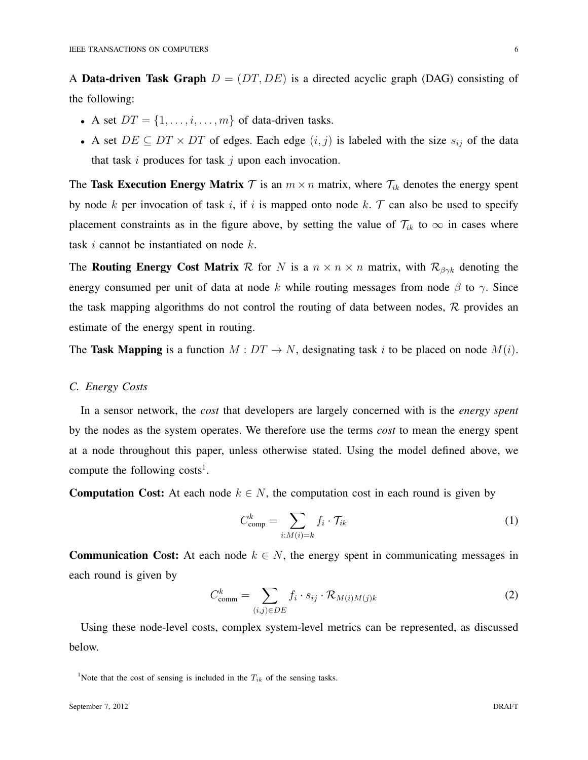A **Data-driven Task Graph**  $D = (DT, DE)$  is a directed acyclic graph (DAG) consisting of the following:

- A set  $DT = \{1, \ldots, i, \ldots, m\}$  of data-driven tasks.
- A set  $DE \subseteq DT \times DT$  of edges. Each edge  $(i, j)$  is labeled with the size  $s_{ij}$  of the data that task  $i$  produces for task  $j$  upon each invocation.

The Task Execution Energy Matrix  $\mathcal T$  is an  $m \times n$  matrix, where  $\mathcal T_{ik}$  denotes the energy spent by node k per invocation of task i, if i is mapped onto node k.  $\mathcal T$  can also be used to specify placement constraints as in the figure above, by setting the value of  $\mathcal{T}_{ik}$  to  $\infty$  in cases where task  $i$  cannot be instantiated on node  $k$ .

The **Routing Energy Cost Matrix** R for N is a  $n \times n \times n$  matrix, with  $\mathcal{R}_{\beta\gamma k}$  denoting the energy consumed per unit of data at node k while routing messages from node  $\beta$  to  $\gamma$ . Since the task mapping algorithms do not control the routing of data between nodes,  $R$  provides an estimate of the energy spent in routing.

The Task Mapping is a function  $M: DT \to N$ , designating task i to be placed on node  $M(i)$ .

# *C. Energy Costs*

In a sensor network, the *cost* that developers are largely concerned with is the *energy spent* by the nodes as the system operates. We therefore use the terms *cost* to mean the energy spent at a node throughout this paper, unless otherwise stated. Using the model defined above, we compute the following  $costs<sup>1</sup>$ .

**Computation Cost:** At each node  $k \in N$ , the computation cost in each round is given by

$$
C_{\text{comp}}^k = \sum_{i:M(i)=k} f_i \cdot \mathcal{T}_{ik} \tag{1}
$$

**Communication Cost:** At each node  $k \in N$ , the energy spent in communicating messages in each round is given by

$$
C_{\text{comm}}^k = \sum_{(i,j)\in DE} f_i \cdot s_{ij} \cdot \mathcal{R}_{M(i)M(j)k} \tag{2}
$$

Using these node-level costs, complex system-level metrics can be represented, as discussed below.

<sup>&</sup>lt;sup>1</sup>Note that the cost of sensing is included in the  $T_{ik}$  of the sensing tasks.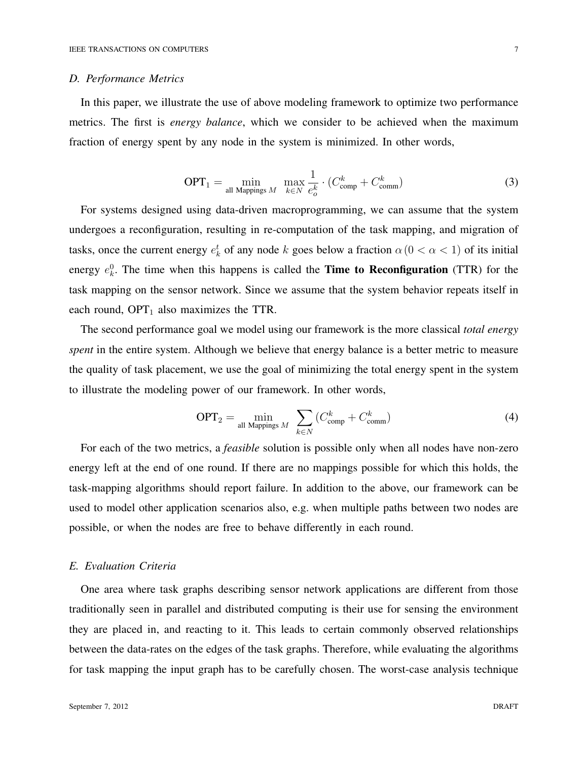# *D. Performance Metrics*

In this paper, we illustrate the use of above modeling framework to optimize two performance metrics. The first is *energy balance*, which we consider to be achieved when the maximum fraction of energy spent by any node in the system is minimized. In other words,

$$
\text{OPT}_1 = \min_{\text{all Mappings } M} \max_{k \in N} \frac{1}{e_o^k} \cdot (C_{\text{comp}}^k + C_{\text{comm}}^k)
$$
(3)

For systems designed using data-driven macroprogramming, we can assume that the system undergoes a reconfiguration, resulting in re-computation of the task mapping, and migration of tasks, once the current energy  $e_k^t$  of any node k goes below a fraction  $\alpha$  ( $0 < \alpha < 1$ ) of its initial energy  $e_k^0$ . The time when this happens is called the **Time to Reconfiguration** (TTR) for the task mapping on the sensor network. Since we assume that the system behavior repeats itself in each round,  $OPT_1$  also maximizes the TTR.

The second performance goal we model using our framework is the more classical *total energy spent* in the entire system. Although we believe that energy balance is a better metric to measure the quality of task placement, we use the goal of minimizing the total energy spent in the system to illustrate the modeling power of our framework. In other words,

$$
\text{OPT}_2 = \min_{\text{all Mappings } M} \sum_{k \in N} (C_{\text{comp}}^k + C_{\text{comm}}^k)
$$
(4)

For each of the two metrics, a *feasible* solution is possible only when all nodes have non-zero energy left at the end of one round. If there are no mappings possible for which this holds, the task-mapping algorithms should report failure. In addition to the above, our framework can be used to model other application scenarios also, e.g. when multiple paths between two nodes are possible, or when the nodes are free to behave differently in each round.

# *E. Evaluation Criteria*

One area where task graphs describing sensor network applications are different from those traditionally seen in parallel and distributed computing is their use for sensing the environment they are placed in, and reacting to it. This leads to certain commonly observed relationships between the data-rates on the edges of the task graphs. Therefore, while evaluating the algorithms for task mapping the input graph has to be carefully chosen. The worst-case analysis technique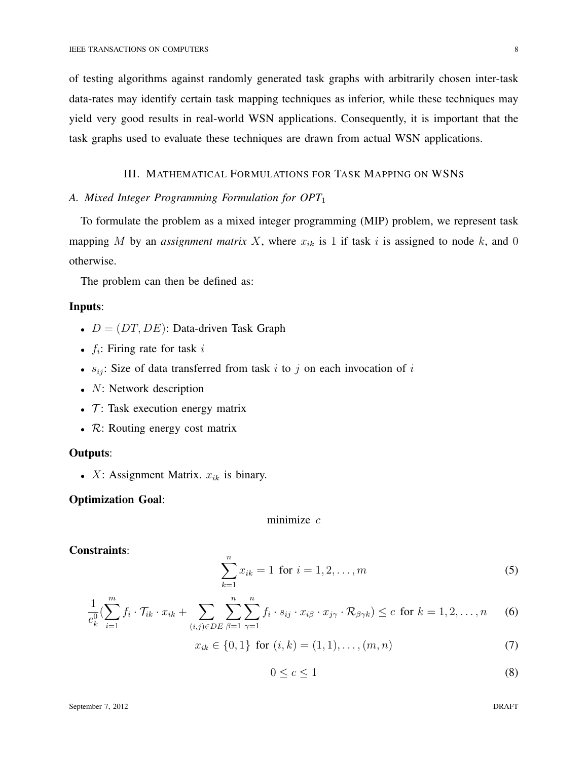of testing algorithms against randomly generated task graphs with arbitrarily chosen inter-task data-rates may identify certain task mapping techniques as inferior, while these techniques may yield very good results in real-world WSN applications. Consequently, it is important that the task graphs used to evaluate these techniques are drawn from actual WSN applications.

# III. MATHEMATICAL FORMULATIONS FOR TASK MAPPING ON WSNS

# *A. Mixed Integer Programming Formulation for OPT*<sup>1</sup>

To formulate the problem as a mixed integer programming (MIP) problem, we represent task mapping M by an *assignment matrix X*, where  $x_{ik}$  is 1 if task i is assigned to node k, and 0 otherwise.

The problem can then be defined as:

# Inputs:

- $D = (DT, DE)$ : Data-driven Task Graph
- $f_i$ : Firing rate for task i
- $s_{ij}$ : Size of data transferred from task i to j on each invocation of i
- $N$ : Network description
- $\mathcal{T}$ : Task execution energy matrix
- $R:$  Routing energy cost matrix

# Outputs:

•  $X$ : Assignment Matrix.  $x_{ik}$  is binary.

# Optimization Goal:

minimize c

Constraints:

$$
\sum_{k=1}^{n} x_{ik} = 1 \text{ for } i = 1, 2, \dots, m
$$
 (5)

$$
\frac{1}{e_k^0} \left( \sum_{i=1}^m f_i \cdot \mathcal{T}_{ik} \cdot x_{ik} + \sum_{(i,j) \in DE} \sum_{\beta=1}^n \sum_{\gamma=1}^n f_i \cdot s_{ij} \cdot x_{i\beta} \cdot x_{j\gamma} \cdot \mathcal{R}_{\beta\gamma k} \right) \leq c \text{ for } k = 1, 2, \dots, n \quad (6)
$$

$$
x_{ik} \in \{0, 1\} \text{ for } (i, k) = (1, 1), \dots, (m, n) \tag{7}
$$

$$
0 \le c \le 1 \tag{8}
$$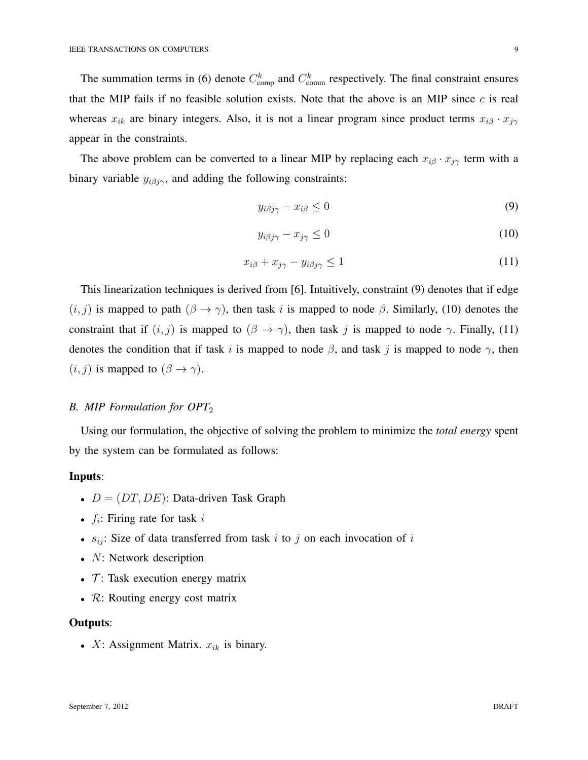The summation terms in (6) denote  $C_{\text{comp}}^k$  and  $C_{\text{comm}}^k$  respectively. The final constraint ensures that the MIP fails if no feasible solution exists. Note that the above is an MIP since  $c$  is real whereas  $x_{ik}$  are binary integers. Also, it is not a linear program since product terms  $x_{i\beta} \cdot x_{j\gamma}$ appear in the constraints.

The above problem can be converted to a linear MIP by replacing each  $x_{i\beta} \cdot x_{j\gamma}$  term with a binary variable  $y_{i\beta j\gamma}$ , and adding the following constraints:

$$
y_{i\beta j\gamma} - x_{i\beta} \le 0 \tag{9}
$$

$$
y_{i\beta j\gamma} - x_{j\gamma} \le 0 \tag{10}
$$

$$
x_{i\beta} + x_{j\gamma} - y_{i\beta j\gamma} \le 1\tag{11}
$$

This linearization techniques is derived from [6]. Intuitively, constraint (9) denotes that if edge  $(i, j)$  is mapped to path  $(\beta \to \gamma)$ , then task i is mapped to node  $\beta$ . Similarly, (10) denotes the constraint that if  $(i, j)$  is mapped to  $(\beta \to \gamma)$ , then task j is mapped to node  $\gamma$ . Finally, (11) denotes the condition that if task i is mapped to node  $\beta$ , and task j is mapped to node  $\gamma$ , then  $(i, j)$  is mapped to  $(\beta \rightarrow \gamma)$ .

# *B. MIP Formulation for OPT*<sub>2</sub>

Using our formulation, the objective of solving the problem to minimize the *total energy* spent by the system can be formulated as follows:

#### Inputs:

- $D = (DT, DE)$ : Data-driven Task Graph
- $f_i$ : Firing rate for task i
- $s_{ij}$ : Size of data transferred from task i to j on each invocation of i
- $N$ : Network description
- $\mathcal{T}$ : Task execution energy matrix
- $\mathcal{R}$ : Routing energy cost matrix

# Outputs:

•  $X$ : Assignment Matrix.  $x_{ik}$  is binary.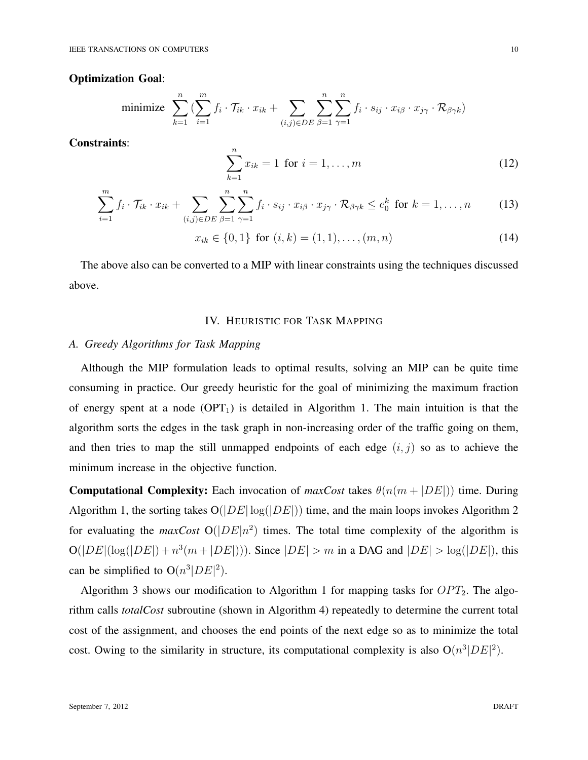# Optimization Goal:

minimize 
$$
\sum_{k=1}^{n} \left( \sum_{i=1}^{m} f_i \cdot \mathcal{T}_{ik} \cdot x_{ik} + \sum_{(i,j) \in DE} \sum_{\beta=1}^{n} \sum_{\gamma=1}^{n} f_i \cdot s_{ij} \cdot x_{i\beta} \cdot x_{j\gamma} \cdot \mathcal{R}_{\beta\gamma k} \right)
$$

Constraints:

$$
\sum_{k=1}^{n} x_{ik} = 1 \text{ for } i = 1, ..., m
$$
 (12)

$$
\sum_{i=1}^{m} f_i \cdot \mathcal{T}_{ik} \cdot x_{ik} + \sum_{(i,j) \in DE} \sum_{\beta=1}^{n} \sum_{\gamma=1}^{n} f_i \cdot s_{ij} \cdot x_{i\beta} \cdot x_{j\gamma} \cdot \mathcal{R}_{\beta\gamma k} \le e_0^k \text{ for } k = 1, \dots, n
$$
 (13)

$$
x_{ik} \in \{0, 1\} \text{ for } (i, k) = (1, 1), \dots, (m, n) \tag{14}
$$

The above also can be converted to a MIP with linear constraints using the techniques discussed above.

#### IV. HEURISTIC FOR TASK MAPPING

# *A. Greedy Algorithms for Task Mapping*

Although the MIP formulation leads to optimal results, solving an MIP can be quite time consuming in practice. Our greedy heuristic for the goal of minimizing the maximum fraction of energy spent at a node  $(OPT_1)$  is detailed in Algorithm 1. The main intuition is that the algorithm sorts the edges in the task graph in non-increasing order of the traffic going on them, and then tries to map the still unmapped endpoints of each edge  $(i, j)$  so as to achieve the minimum increase in the objective function.

**Computational Complexity:** Each invocation of  $maxCost$  takes  $\theta(n(m + |DE|))$  time. During Algorithm 1, the sorting takes  $O(|DE| \log(|DE|))$  time, and the main loops invokes Algorithm 2 for evaluating the *maxCost*  $O(|DE|n^2)$  times. The total time complexity of the algorithm is  $O(|DE|(\log(|DE|) + n^3(m + |DE|)))$ . Since  $|DE| > m$  in a DAG and  $|DE| > log(|DE|)$ , this can be simplified to  $O(n^3|DE|^2)$ .

Algorithm 3 shows our modification to Algorithm 1 for mapping tasks for  $OPT_2$ . The algorithm calls *totalCost* subroutine (shown in Algorithm 4) repeatedly to determine the current total cost of the assignment, and chooses the end points of the next edge so as to minimize the total cost. Owing to the similarity in structure, its computational complexity is also  $O(n^3|DE|^2)$ .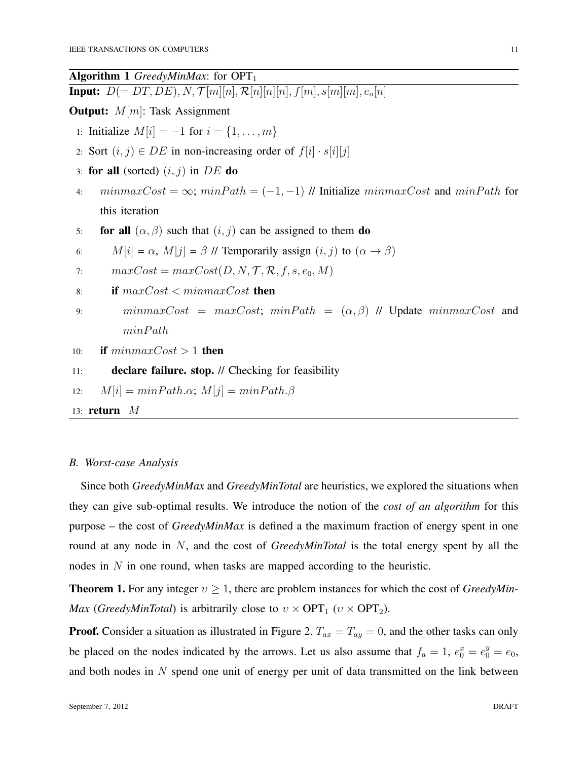Algorithm 1 *GreedyMinMax*: for  $OPT_1$ 

**Input:**  $D(=DT,DE), N, \mathcal{T}[m][n], \mathcal{R}[n][n][n], f[m], s[m][m], e_o[n]$ 

**Output:**  $M[m]$ : Task Assignment

- 1: Initialize  $M[i] = -1$  for  $i = \{1, ..., m\}$
- 2: Sort  $(i, j) \in DE$  in non-increasing order of  $f[i] \cdot s[i][j]$
- 3: for all (sorted)  $(i, j)$  in DE do
- 4:  $minmaxCost = \infty$ ;  $minPath = (-1, -1)$  // Initialize  $minmaxCost$  and  $minPath$  for this iteration
- 5: **for all**  $(\alpha, \beta)$  such that  $(i, j)$  can be assigned to them **do**

6: 
$$
M[i] = \alpha
$$
,  $M[j] = \beta$  // Temporarily assign  $(i, j)$  to  $(\alpha \rightarrow \beta)$ 

7: 
$$
maxCost = maxCost(D, N, T, R, f, s, e_0, M)
$$

8: **if**  $maxCost < minmaxCost$  **then** 

9: 
$$
minmaxCost = maxCost; minPath = (\alpha, \beta) \text{ // Update } minmaxCost \text{ and } minPath
$$

- 10: if  $minmaxCost > 1$  then
- 11: declare failure. stop. // Checking for feasibility

12: 
$$
M[i] = minPath.\alpha; M[j] = minPath.\beta
$$

13:  $return M$ 

#### *B. Worst-case Analysis*

Since both *GreedyMinMax* and *GreedyMinTotal* are heuristics, we explored the situations when they can give sub-optimal results. We introduce the notion of the *cost of an algorithm* for this purpose – the cost of *GreedyMinMax* is defined a the maximum fraction of energy spent in one round at any node in N, and the cost of *GreedyMinTotal* is the total energy spent by all the nodes in N in one round, when tasks are mapped according to the heuristic.

**Theorem 1.** For any integer  $v \ge 1$ , there are problem instances for which the cost of *GreedyMin*-*Max* (*GreedyMinTotal*) is arbitrarily close to  $v \times \text{OPT}_1$  ( $v \times \text{OPT}_2$ ).

**Proof.** Consider a situation as illustrated in Figure 2.  $T_{ax} = T_{ay} = 0$ , and the other tasks can only be placed on the nodes indicated by the arrows. Let us also assume that  $f_a = 1$ ,  $e_0^x = e_0^y = e_0$ , and both nodes in  $N$  spend one unit of energy per unit of data transmitted on the link between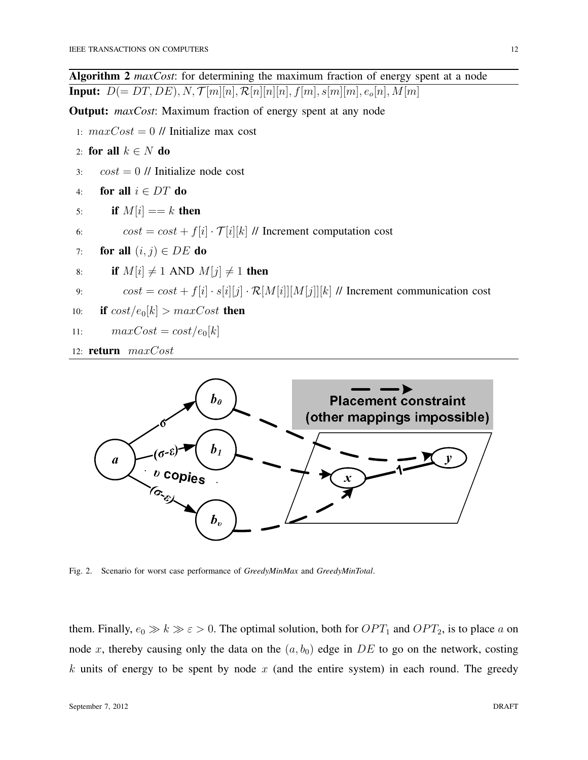Algorithm 2 *maxCost*: for determining the maximum fraction of energy spent at a node **Input:**  $D(=DT,DE), N, \mathcal{T}[m][n], \mathcal{R}[n][n][n], f[m], s[m][m], e_o[n], M[m]$ 

Output: *maxCost*: Maximum fraction of energy spent at any node

1:  $maxCost = 0$  // Initialize max cost

- 2: for all  $k \in N$  do
- 3:  $cost = 0$  // Initialize node cost

4: for all 
$$
i \in DT
$$
 do

- 5: if  $M[i] == k$  then
- 6:  $cost = cost + f[i] \cdot \mathcal{T}[i][k]$  // Increment computation cost
- 7: for all  $(i, j) \in DE$  do
- 8: if  $M[i] \neq 1$  AND  $M[j] \neq 1$  then

9: 
$$
cost = cost + f[i] \cdot s[i][j] \cdot \mathcal{R}[M[i]][M[j]][k] \text{ // Increment communication cost}
$$

10: **if**  $cost/e_0[k] > maxCost$  **then** 

$$
11: \qquad maxCost = cost/e_0[k]
$$

12: return maxCost



Fig. 2. Scenario for worst case performance of *GreedyMinMax* and *GreedyMinTotal*.

them. Finally,  $e_0 \gg k \gg \varepsilon > 0$ . The optimal solution, both for  $OPT_1$  and  $OPT_2$ , is to place a on node x, thereby causing only the data on the  $(a, b_0)$  edge in DE to go on the network, costing  $k$  units of energy to be spent by node  $x$  (and the entire system) in each round. The greedy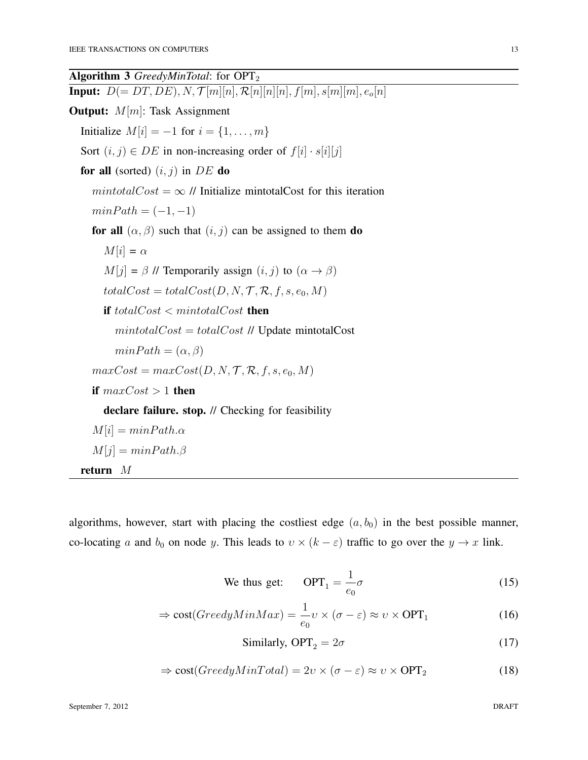Algorithm 3 *GreedyMinTotal*: for OPT<sub>2</sub> **Input:**  $D(=DT,DE), N, \mathcal{T}[m][n], \mathcal{R}[n][n][n], f[m], s[m][m], e_o[n]$ **Output:**  $M[m]$ : Task Assignment Initialize  $M[i] = -1$  for  $i = \{1, \ldots, m\}$ Sort  $(i, j) \in DE$  in non-increasing order of  $f[i] \cdot s[i][j]$ for all (sorted)  $(i, j)$  in DE do  $mintotalCost = \infty$  // Initialize mintotalCost for this iteration  $minPath = (-1, -1)$ for all  $(\alpha, \beta)$  such that  $(i, j)$  can be assigned to them do  $M[i] = \alpha$  $M[j] = \beta$  // Temporarily assign  $(i, j)$  to  $(\alpha \rightarrow \beta)$  $totalCost = totalCost(D, N, T, R, f, s, e_0, M)$ if  $totalCost < mintotalCost$  then  $mintotalCost = totalCost$  // Update mintotalCost  $minPath = (\alpha, \beta)$  $maxCost = maxCost(D, N, T, R, f, s, e_0, M)$ if  $maxCost > 1$  then declare failure. stop. // Checking for feasibility  $M[i] = minPath.\alpha$  $M[j] = minPath.\beta$ return M

algorithms, however, start with placing the costliest edge  $(a, b_0)$  in the best possible manner, co-locating a and b<sub>0</sub> on node y. This leads to  $v \times (k - \varepsilon)$  traffic to go over the  $y \to x$  link.

We thus get: 
$$
OPT_1 = \frac{1}{e_0} \sigma
$$
 (15)

$$
\Rightarrow \cot(GreedyMinMax) = \frac{1}{e_0} \nu \times (\sigma - \varepsilon) \approx \nu \times \text{OPT}_1 \tag{16}
$$

Similarly, 
$$
OPT_2 = 2\sigma \tag{17}
$$

$$
\Rightarrow \cos(\text{GreedyMinTotal}) = 2v \times (\sigma - \varepsilon) \approx v \times \text{OPT}_2 \tag{18}
$$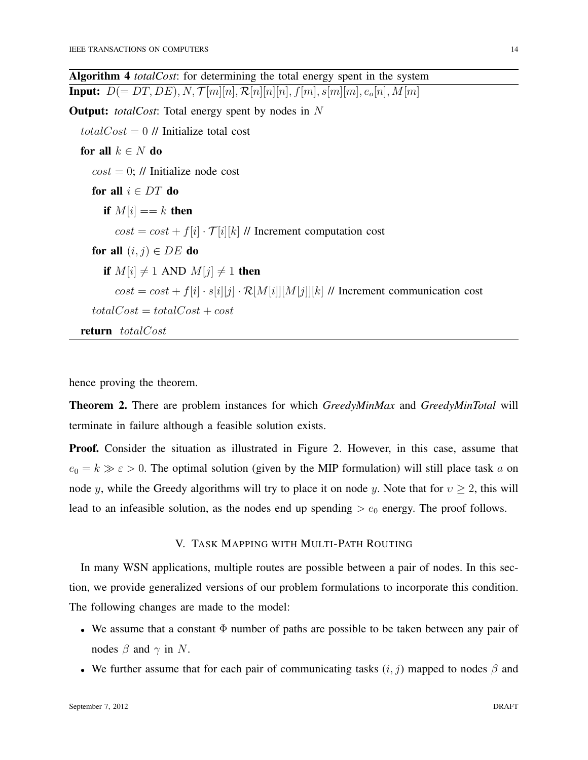Algorithm 4 *totalCost*: for determining the total energy spent in the system **Input:**  $D(=DT,DE), N, \mathcal{T}[m][n], \mathcal{R}[n][n][n], f[m], s[m][m], e_o[n], M[m]$ **Output:** *totalCost*: Total energy spent by nodes in N  $totalCost = 0$  // Initialize total cost for all  $k \in N$  do  $cost = 0$ ; // Initialize node cost for all  $i \in DT$  do if  $M[i] == k$  then  $cost = cost + f[i] \cdot \mathcal{T}[i][k]$  // Increment computation cost for all  $(i, j) \in DE$  do if  $M[i] \neq 1$  AND  $M[j] \neq 1$  then  $cost = cost + f[i] \cdot s[i][j] \cdot \mathcal{R}[M[i]][M[j]][k]$  // Increment communication cost  $totalCost = totalCost + cost$ return totalCost

hence proving the theorem.

Theorem 2. There are problem instances for which *GreedyMinMax* and *GreedyMinTotal* will terminate in failure although a feasible solution exists.

Proof. Consider the situation as illustrated in Figure 2. However, in this case, assume that  $e_0 = k \gg \varepsilon > 0$ . The optimal solution (given by the MIP formulation) will still place task a on node y, while the Greedy algorithms will try to place it on node y. Note that for  $v \ge 2$ , this will lead to an infeasible solution, as the nodes end up spending  $> e_0$  energy. The proof follows.

# V. TASK MAPPING WITH MULTI-PATH ROUTING

In many WSN applications, multiple routes are possible between a pair of nodes. In this section, we provide generalized versions of our problem formulations to incorporate this condition. The following changes are made to the model:

- We assume that a constant  $\Phi$  number of paths are possible to be taken between any pair of nodes  $\beta$  and  $\gamma$  in N.
- We further assume that for each pair of communicating tasks  $(i, j)$  mapped to nodes  $\beta$  and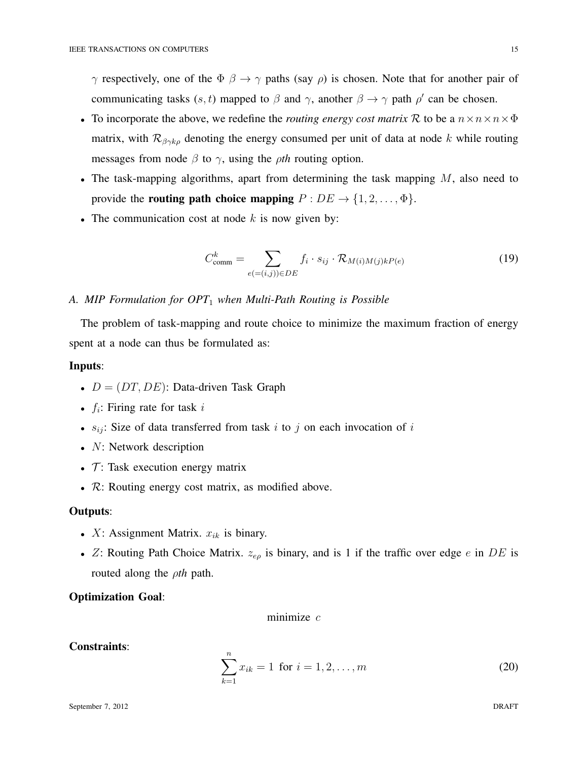$γ$  respectively, one of the Φ  $β \rightarrow γ$  paths (say  $ρ$ ) is chosen. Note that for another pair of communicating tasks  $(s, t)$  mapped to  $\beta$  and  $\gamma$ , another  $\beta \rightarrow \gamma$  path  $\rho'$  can be chosen.

- To incorporate the above, we redefine the *routing energy cost matrix* R to be a  $n \times n \times n \times \Phi$ matrix, with  $\mathcal{R}_{\beta\gamma k\rho}$  denoting the energy consumed per unit of data at node k while routing messages from node  $\beta$  to  $\gamma$ , using the *pth* routing option.
- The task-mapping algorithms, apart from determining the task mapping  $M$ , also need to provide the **routing path choice mapping**  $P : DE \rightarrow \{1, 2, ..., \Phi\}.$
- The communication cost at node  $k$  is now given by:

$$
C_{\text{comm}}^k = \sum_{e = (i,j)\} \sum_{E} f_i \cdot s_{ij} \cdot \mathcal{R}_{M(i)M(j)kP(e)} \tag{19}
$$

# *A. MIP Formulation for OPT*<sup>1</sup> *when Multi-Path Routing is Possible*

The problem of task-mapping and route choice to minimize the maximum fraction of energy spent at a node can thus be formulated as:

# Inputs:

- $D = (DT, DE)$ : Data-driven Task Graph
- $f_i$ : Firing rate for task i
- $s_{ij}$ : Size of data transferred from task i to j on each invocation of i
- $N$ : Network description
- $\mathcal{T}$ : Task execution energy matrix
- R: Routing energy cost matrix, as modified above.

# Outputs:

- $X$ : Assignment Matrix.  $x_{ik}$  is binary.
- Z: Routing Path Choice Matrix.  $z_{e\rho}$  is binary, and is 1 if the traffic over edge e in DE is routed along the ρ*th* path.

# Optimization Goal:

minimize  $c$ 

#### Constraints:

$$
\sum_{k=1}^{n} x_{ik} = 1 \text{ for } i = 1, 2, \dots, m
$$
 (20)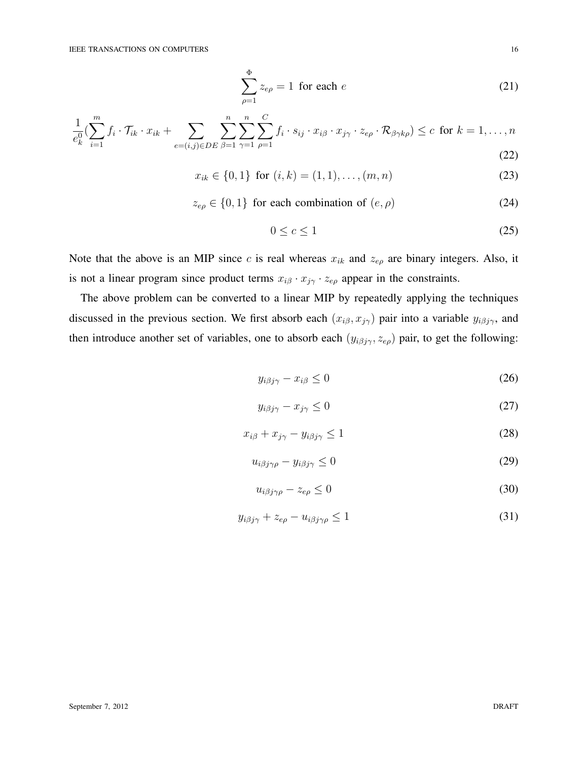$$
\sum_{\rho=1}^{\Phi} z_{e\rho} = 1 \text{ for each } e
$$
 (21)

$$
\frac{1}{e_k^0} \left( \sum_{i=1}^m f_i \cdot \mathcal{T}_{ik} \cdot x_{ik} + \sum_{e=(i,j)\in DE} \sum_{\beta=1}^n \sum_{\gamma=1}^n \sum_{\rho=1}^C f_i \cdot s_{ij} \cdot x_{i\beta} \cdot x_{j\gamma} \cdot z_{e\rho} \cdot \mathcal{R}_{\beta\gamma k\rho} \right) \leq c \text{ for } k=1,\ldots,n
$$
\n(22)

$$
x_{ik} \in \{0, 1\} \text{ for } (i, k) = (1, 1), \dots, (m, n) \tag{23}
$$

$$
z_{e\rho} \in \{0, 1\} \text{ for each combination of } (e, \rho) \tag{24}
$$

$$
0 \le c \le 1 \tag{25}
$$

Note that the above is an MIP since c is real whereas  $x_{ik}$  and  $z_{e\rho}$  are binary integers. Also, it is not a linear program since product terms  $x_{i\beta} \cdot x_{j\gamma} \cdot z_{e\rho}$  appear in the constraints.

The above problem can be converted to a linear MIP by repeatedly applying the techniques discussed in the previous section. We first absorb each  $(x_{i\beta}, x_{j\gamma})$  pair into a variable  $y_{i\beta j\gamma}$ , and then introduce another set of variables, one to absorb each  $(y_{i\beta j\gamma}, z_{e\rho})$  pair, to get the following:

$$
y_{i\beta j\gamma} - x_{i\beta} \le 0 \tag{26}
$$

$$
y_{i\beta j\gamma} - x_{j\gamma} \le 0 \tag{27}
$$

$$
x_{i\beta} + x_{j\gamma} - y_{i\beta j\gamma} \le 1\tag{28}
$$

$$
u_{i\beta j\gamma\rho} - y_{i\beta j\gamma} \le 0 \tag{29}
$$

$$
u_{i\beta j\gamma\rho} - z_{e\rho} \le 0 \tag{30}
$$

$$
y_{i\beta j\gamma} + z_{e\rho} - u_{i\beta j\gamma\rho} \le 1
$$
\n(31)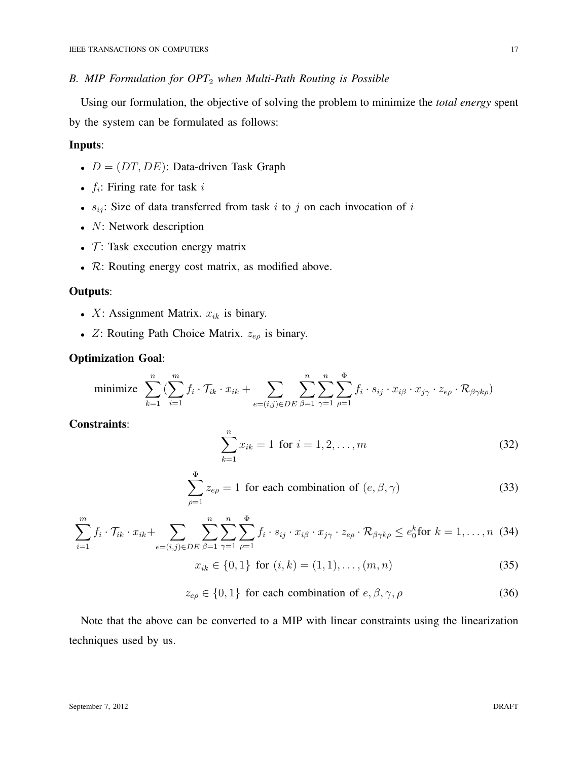# *B. MIP Formulation for OPT*<sup>2</sup> *when Multi-Path Routing is Possible*

Using our formulation, the objective of solving the problem to minimize the *total energy* spent by the system can be formulated as follows:

# Inputs:

- $D = (DT, DE)$ : Data-driven Task Graph
- $f_i$ : Firing rate for task i
- $s_{ij}$ : Size of data transferred from task i to j on each invocation of i
- $N$ : Network description
- $\mathcal{T}$ : Task execution energy matrix
- R: Routing energy cost matrix, as modified above.

# Outputs:

- $X$ : Assignment Matrix.  $x_{ik}$  is binary.
- Z: Routing Path Choice Matrix.  $z_{e\rho}$  is binary.

# Optimization Goal:

minimize 
$$
\sum_{k=1}^{n} \left( \sum_{i=1}^{m} f_i \cdot \mathcal{T}_{ik} \cdot x_{ik} + \sum_{e=(i,j)\in DE} \sum_{\beta=1}^{n} \sum_{\gamma=1}^{n} \sum_{\rho=1}^{\Phi} f_i \cdot s_{ij} \cdot x_{i\beta} \cdot x_{j\gamma} \cdot z_{e\rho} \cdot \mathcal{R}_{\beta\gamma k\rho} \right)
$$

Constraints:

$$
\sum_{k=1}^{n} x_{ik} = 1 \text{ for } i = 1, 2, ..., m
$$
 (32)

$$
\sum_{\rho=1}^{\Phi} z_{e\rho} = 1
$$
 for each combination of  $(e, \beta, \gamma)$  (33)

$$
\sum_{i=1}^{m} f_i \cdot \mathcal{T}_{ik} \cdot x_{ik} + \sum_{e=(i,j)\in DE} \sum_{\beta=1}^{n} \sum_{\gamma=1}^{n} \sum_{\rho=1}^{\Phi} f_i \cdot s_{ij} \cdot x_{i\beta} \cdot x_{j\gamma} \cdot z_{e\rho} \cdot \mathcal{R}_{\beta\gamma k\rho} \le e_0^k \text{for } k=1,\ldots,n \text{ (34)}
$$

$$
x_{ik} \in \{0, 1\} \text{ for } (i, k) = (1, 1), \dots, (m, n) \tag{35}
$$

$$
z_{e\rho} \in \{0, 1\} \text{ for each combination of } e, \beta, \gamma, \rho \tag{36}
$$

Note that the above can be converted to a MIP with linear constraints using the linearization techniques used by us.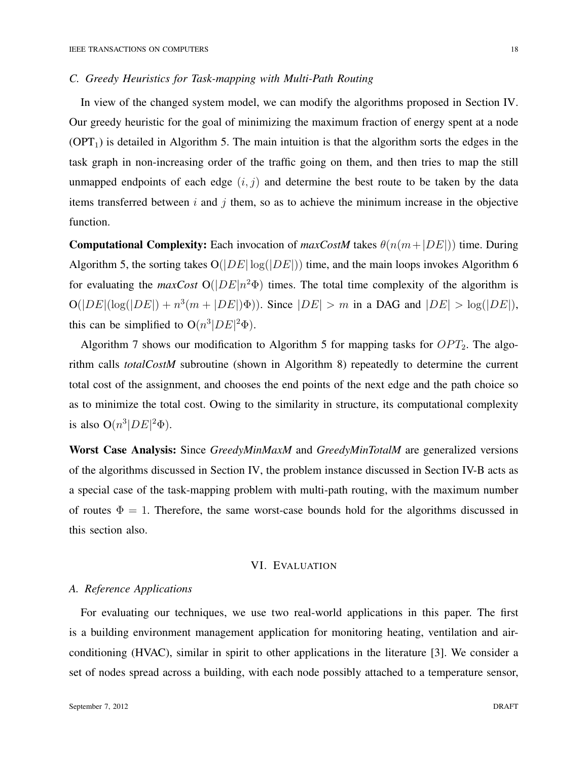# *C. Greedy Heuristics for Task-mapping with Multi-Path Routing*

In view of the changed system model, we can modify the algorithms proposed in Section IV. Our greedy heuristic for the goal of minimizing the maximum fraction of energy spent at a node  $(OPT<sub>1</sub>)$  is detailed in Algorithm 5. The main intuition is that the algorithm sorts the edges in the task graph in non-increasing order of the traffic going on them, and then tries to map the still unmapped endpoints of each edge  $(i, j)$  and determine the best route to be taken by the data items transferred between  $i$  and  $j$  them, so as to achieve the minimum increase in the objective function.

**Computational Complexity:** Each invocation of  $maxCostM$  takes  $\theta(n(m+|DE|))$  time. During Algorithm 5, the sorting takes  $O(|DE| \log(|DE|))$  time, and the main loops invokes Algorithm 6 for evaluating the *maxCost*  $O(|DE|n^2\Phi)$  times. The total time complexity of the algorithm is  $O(|DE|(\log(|DE|) + n^3(m + |DE|)\Phi))$ . Since  $|DE| > m$  in a DAG and  $|DE| > log(|DE|)$ , this can be simplified to  $O(n^3|DE|^2\Phi)$ .

Algorithm 7 shows our modification to Algorithm 5 for mapping tasks for  $OPT_2$ . The algorithm calls *totalCostM* subroutine (shown in Algorithm 8) repeatedly to determine the current total cost of the assignment, and chooses the end points of the next edge and the path choice so as to minimize the total cost. Owing to the similarity in structure, its computational complexity is also  $O(n^3|DE|^2\Phi)$ .

Worst Case Analysis: Since *GreedyMinMaxM* and *GreedyMinTotalM* are generalized versions of the algorithms discussed in Section IV, the problem instance discussed in Section IV-B acts as a special case of the task-mapping problem with multi-path routing, with the maximum number of routes  $\Phi = 1$ . Therefore, the same worst-case bounds hold for the algorithms discussed in this section also.

# VI. EVALUATION

#### *A. Reference Applications*

For evaluating our techniques, we use two real-world applications in this paper. The first is a building environment management application for monitoring heating, ventilation and airconditioning (HVAC), similar in spirit to other applications in the literature [3]. We consider a set of nodes spread across a building, with each node possibly attached to a temperature sensor,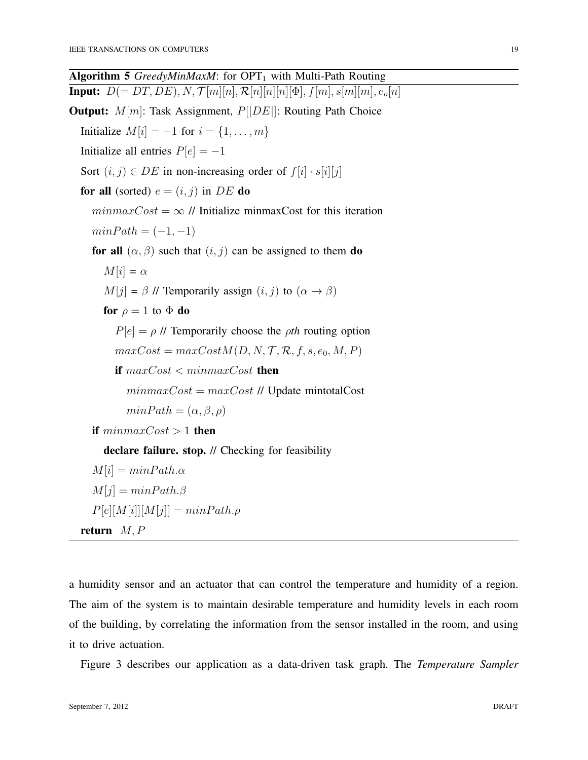Algorithm 5 *GreedyMinMaxM*: for OPT<sub>1</sub> with Multi-Path Routing **Input:**  $D(=DT,DE), N, \mathcal{T}[m][n], \mathcal{R}[n][n][n][\Phi], f[m], s[m][m], e_o[n]$ **Output:**  $M[m]$ : Task Assignment,  $P[|DE|]$ : Routing Path Choice Initialize  $M[i] = -1$  for  $i = \{1, \ldots, m\}$ Initialize all entries  $P[e] = -1$ Sort  $(i, j) \in DE$  in non-increasing order of  $f[i] \cdot s[i][j]$ for all (sorted)  $e = (i, j)$  in DE do  $minmaxCost = \infty$  // Initialize minmaxCost for this iteration  $minPath = (-1, -1)$ for all  $(\alpha, \beta)$  such that  $(i, j)$  can be assigned to them do  $M[i] = \alpha$  $M[i] = \beta$  // Temporarily assign  $(i, j)$  to  $(\alpha \rightarrow \beta)$ for  $\rho = 1$  to  $\Phi$  do  $P[e] = \rho$  // Temporarily choose the *pth* routing option  $maxCost = maxCostM(D, N, T, R, f, s, e_0, M, P)$ if  $maxCost < minmaxCost$  then  $minmaxCost = maxCost$  // Update mintotalCost  $minPath = (\alpha, \beta, \rho)$ if  $minmaxCost > 1$  then declare failure. stop. // Checking for feasibility  $M[i] = minPath.\alpha$  $M[j] = minPath.\beta$  $P[e][M[i]][M[j]] = minPath.\rho$ return  $M, P$ 

a humidity sensor and an actuator that can control the temperature and humidity of a region. The aim of the system is to maintain desirable temperature and humidity levels in each room of the building, by correlating the information from the sensor installed in the room, and using it to drive actuation.

Figure 3 describes our application as a data-driven task graph. The *Temperature Sampler*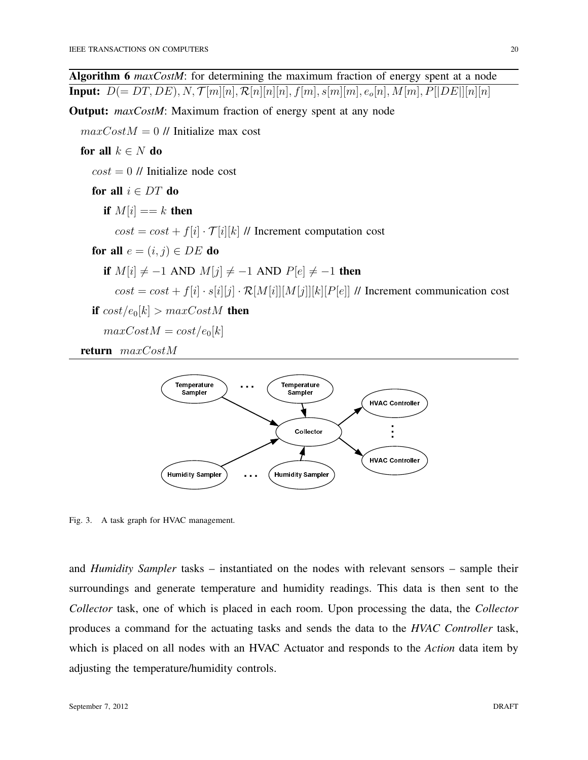Algorithm 6 *maxCostM*: for determining the maximum fraction of energy spent at a node **Input:**  $D(=DT,DE), N, \mathcal{T}[m][n], \mathcal{R}[n][n][n], f[m], s[m][m], e_o[n], M[m], P[|DE][[n][n]]$ 

**Output:** *maxCostM*: Maximum fraction of energy spent at any node

 $maxCostM = 0$  // Initialize max cost

for all  $k \in N$  do

 $cost = 0$  // Initialize node cost

# for all  $i \in DT$  do

if  $M[i] == k$  then

 $cost = cost + f[i] \cdot \mathcal{T}[i][k]$  // Increment computation cost

for all  $e = (i, j) \in DE$  do

$$
if M[i] \neq -1 AND M[j] \neq -1 AND P[e] \neq -1 then
$$

 $cost = cost + f[i] \cdot s[i][j] \cdot \mathcal{R}[M[i]][M[j]][k][P[e]]$  // Increment communication cost

if  $cost/e_0[k] > maxCostM$  then

```
maxCostM = cost/e_0[k]
```
return maxCostM



Fig. 3. A task graph for HVAC management.

and *Humidity Sampler* tasks – instantiated on the nodes with relevant sensors – sample their surroundings and generate temperature and humidity readings. This data is then sent to the *Collector* task, one of which is placed in each room. Upon processing the data, the *Collector* produces a command for the actuating tasks and sends the data to the *HVAC Controller* task, which is placed on all nodes with an HVAC Actuator and responds to the *Action* data item by adjusting the temperature/humidity controls.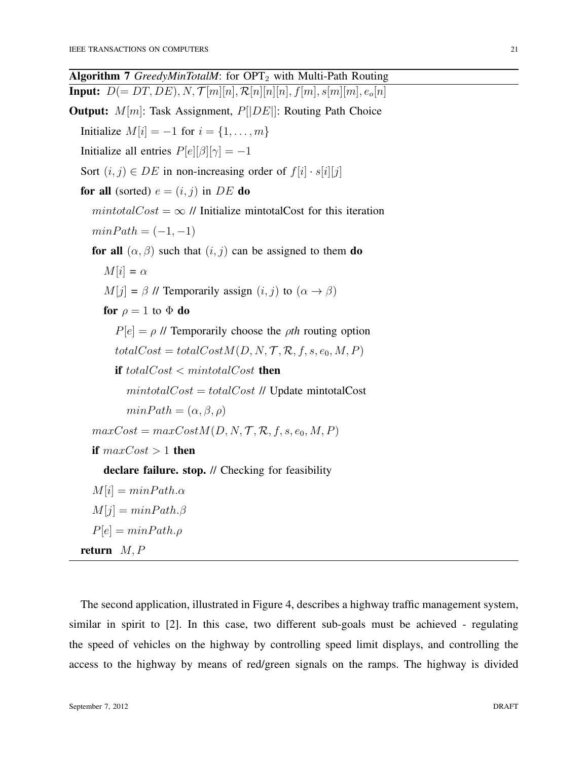Algorithm 7 *GreedyMinTotalM*: for OPT<sub>2</sub> with Multi-Path Routing **Input:**  $D(=DT,DE), N, \mathcal{T}[m][n], \mathcal{R}[n][n][n], f[m], s[m][m], e_o[n]$ **Output:**  $M[m]$ : Task Assignment,  $P[|DE|]$ : Routing Path Choice Initialize  $M[i] = -1$  for  $i = \{1, \ldots, m\}$ Initialize all entries  $P[e][\beta][\gamma] = -1$ Sort  $(i, j) \in DE$  in non-increasing order of  $f[i] \cdot s[i][j]$ for all (sorted)  $e = (i, j)$  in DE do  $mintotalCost = \infty$  // Initialize mintotalCost for this iteration  $minPath = (-1, -1)$ for all  $(\alpha, \beta)$  such that  $(i, j)$  can be assigned to them do  $M[i] = \alpha$  $M[i] = \beta$  // Temporarily assign  $(i, j)$  to  $(\alpha \rightarrow \beta)$ for  $\rho = 1$  to  $\Phi$  do  $P[e] = \rho$  // Temporarily choose the *pth* routing option  $totalCost = totalCostM(D, N, T, R, f, s, e_0, M, P)$ if  $totalCost < mintotalCost$  then  $mintotalCost = totalCost$  // Update mintotalCost  $minPath = (\alpha, \beta, \rho)$  $maxCost = maxCostM(D, N, T, R, f, s, e_0, M, P)$ if  $maxCost > 1$  then declare failure. stop. // Checking for feasibility  $M[i] = minPath.\alpha$  $M[i] = minPath.\beta$  $P[e] = minPath.\rho$ return  $M, P$ 

The second application, illustrated in Figure 4, describes a highway traffic management system, similar in spirit to [2]. In this case, two different sub-goals must be achieved - regulating the speed of vehicles on the highway by controlling speed limit displays, and controlling the access to the highway by means of red/green signals on the ramps. The highway is divided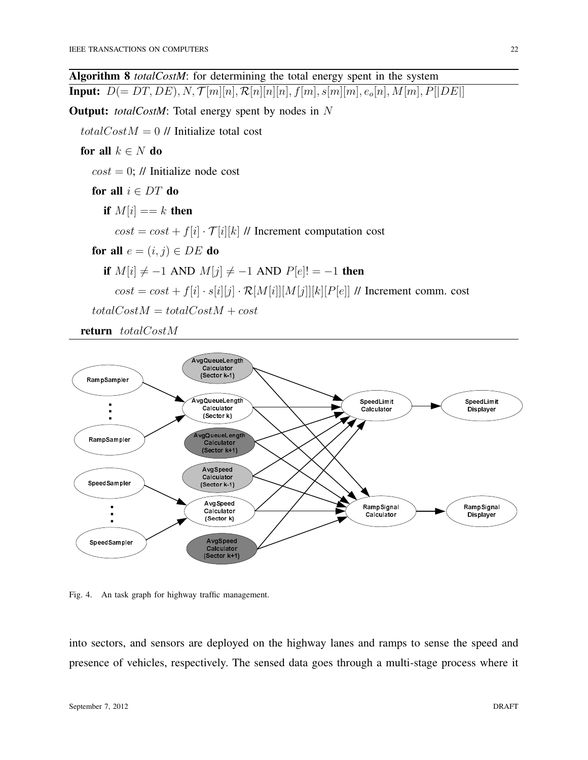Algorithm 8 *totalCostM*: for determining the total energy spent in the system **Input:**  $D(=DT,DE), N, \mathcal{T}[m][n], \mathcal{R}[n][n][n], f[m], s[m][m], e_o[n], M[m], P[|DE|]$ **Output:** *totalCostM*: Total energy spent by nodes in N  $totalCostM = 0$  // Initialize total cost for all  $k \in N$  do  $cost = 0$ ; // Initialize node cost for all  $i \in DT$  do if  $M[i] == k$  then  $cost = cost + f[i] \cdot \mathcal{T}[i][k]$  // Increment computation cost for all  $e = (i, j) \in DE$  do **if**  $M[i] \neq -1$  AND  $M[j] \neq -1$  AND  $P[e]! = -1$  **then**  $cost = cost + f[i] \cdot s[i][j] \cdot \mathcal{R}[M[i]][M[j]][k][P[e]]$  // Increment comm. cost  $totalCostM = totalCostM + cost$ return totalCostM Ram p Sam pler vgQueueLength Calculator (Sector k-1)



Fig. 4. An task graph for highway traffic management.

into sectors, and sensors are deployed on the highway lanes and ramps to sense the speed and presence of vehicles, respectively. The sensed data goes through a multi-stage process where it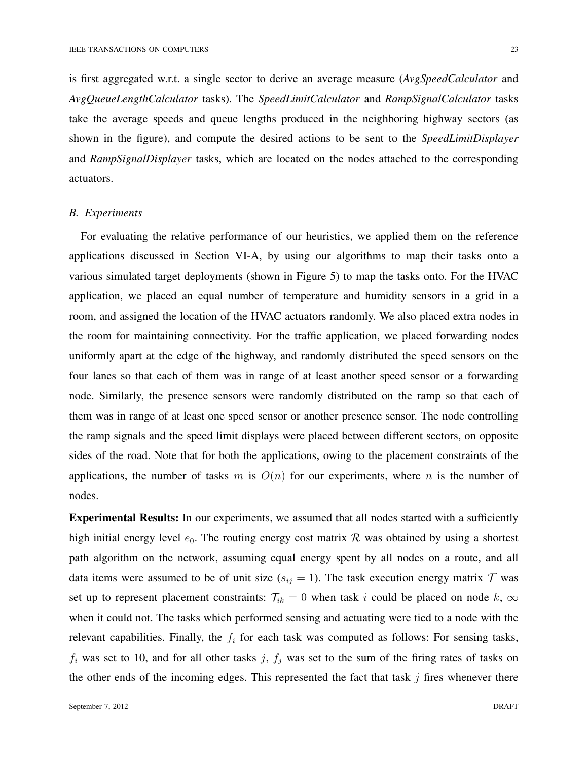is first aggregated w.r.t. a single sector to derive an average measure (*AvgSpeedCalculator* and *AvgQueueLengthCalculator* tasks). The *SpeedLimitCalculator* and *RampSignalCalculator* tasks take the average speeds and queue lengths produced in the neighboring highway sectors (as shown in the figure), and compute the desired actions to be sent to the *SpeedLimitDisplayer* and *RampSignalDisplayer* tasks, which are located on the nodes attached to the corresponding actuators.

## *B. Experiments*

For evaluating the relative performance of our heuristics, we applied them on the reference applications discussed in Section VI-A, by using our algorithms to map their tasks onto a various simulated target deployments (shown in Figure 5) to map the tasks onto. For the HVAC application, we placed an equal number of temperature and humidity sensors in a grid in a room, and assigned the location of the HVAC actuators randomly. We also placed extra nodes in the room for maintaining connectivity. For the traffic application, we placed forwarding nodes uniformly apart at the edge of the highway, and randomly distributed the speed sensors on the four lanes so that each of them was in range of at least another speed sensor or a forwarding node. Similarly, the presence sensors were randomly distributed on the ramp so that each of them was in range of at least one speed sensor or another presence sensor. The node controlling the ramp signals and the speed limit displays were placed between different sectors, on opposite sides of the road. Note that for both the applications, owing to the placement constraints of the applications, the number of tasks m is  $O(n)$  for our experiments, where n is the number of nodes.

Experimental Results: In our experiments, we assumed that all nodes started with a sufficiently high initial energy level  $e_0$ . The routing energy cost matrix R was obtained by using a shortest path algorithm on the network, assuming equal energy spent by all nodes on a route, and all data items were assumed to be of unit size ( $s_{ij} = 1$ ). The task execution energy matrix  $T$  was set up to represent placement constraints:  $\mathcal{T}_{ik} = 0$  when task i could be placed on node k,  $\infty$ when it could not. The tasks which performed sensing and actuating were tied to a node with the relevant capabilities. Finally, the  $f_i$  for each task was computed as follows: For sensing tasks,  $f_i$  was set to 10, and for all other tasks j,  $f_j$  was set to the sum of the firing rates of tasks on the other ends of the incoming edges. This represented the fact that task  $j$  fires whenever there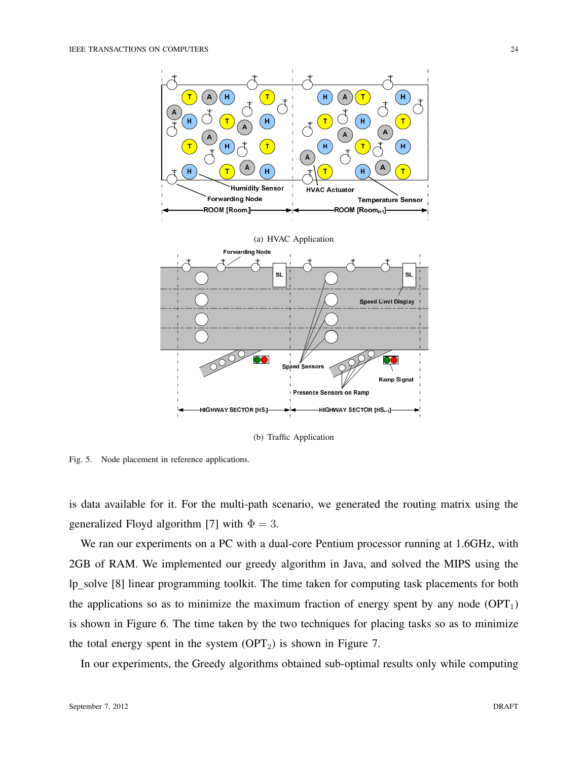

(b) Traffic Application

Fig. 5. Node placement in reference applications.

is data available for it. For the multi-path scenario, we generated the routing matrix using the generalized Floyd algorithm [7] with  $\Phi = 3$ .

We ran our experiments on a PC with a dual-core Pentium processor running at 1.6GHz, with 2GB of RAM. We implemented our greedy algorithm in Java, and solved the MIPS using the lp solve [8] linear programming toolkit. The time taken for computing task placements for both the applications so as to minimize the maximum fraction of energy spent by any node  $(OPT<sub>1</sub>)$ is shown in Figure 6. The time taken by the two techniques for placing tasks so as to minimize the total energy spent in the system  $(OPT<sub>2</sub>)$  is shown in Figure 7.

In our experiments, the Greedy algorithms obtained sub-optimal results only while computing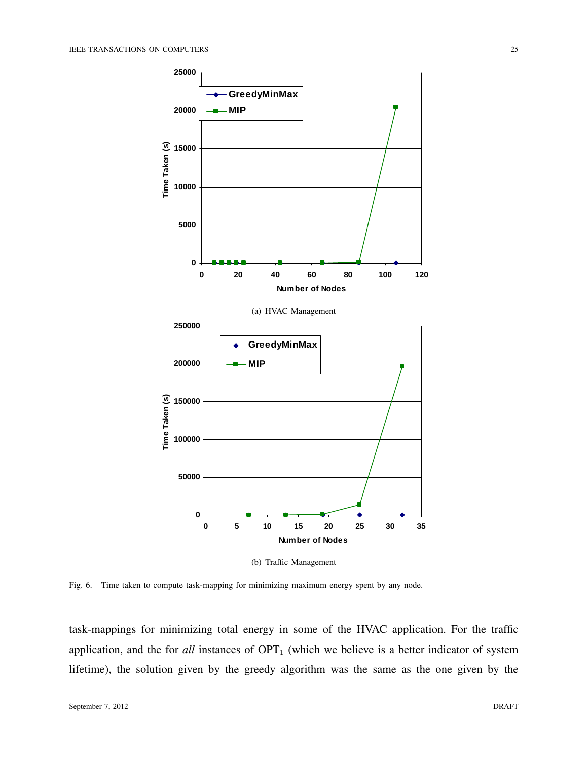

(b) Traffic Management

Fig. 6. Time taken to compute task-mapping for minimizing maximum energy spent by any node.

task-mappings for minimizing total energy in some of the HVAC application. For the traffic application, and the for *all* instances of OPT<sub>1</sub> (which we believe is a better indicator of system lifetime), the solution given by the greedy algorithm was the same as the one given by the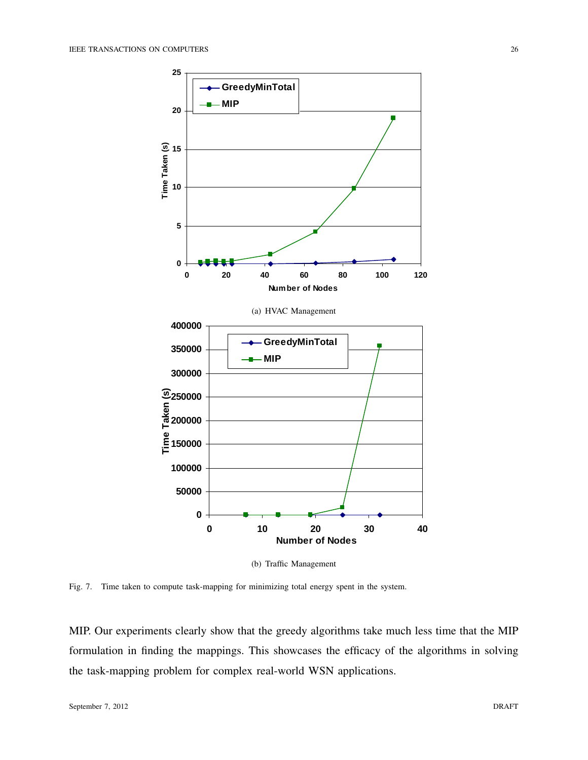

(b) Traffic Management

Fig. 7. Time taken to compute task-mapping for minimizing total energy spent in the system.

MIP. Our experiments clearly show that the greedy algorithms take much less time that the MIP formulation in finding the mappings. This showcases the efficacy of the algorithms in solving the task-mapping problem for complex real-world WSN applications.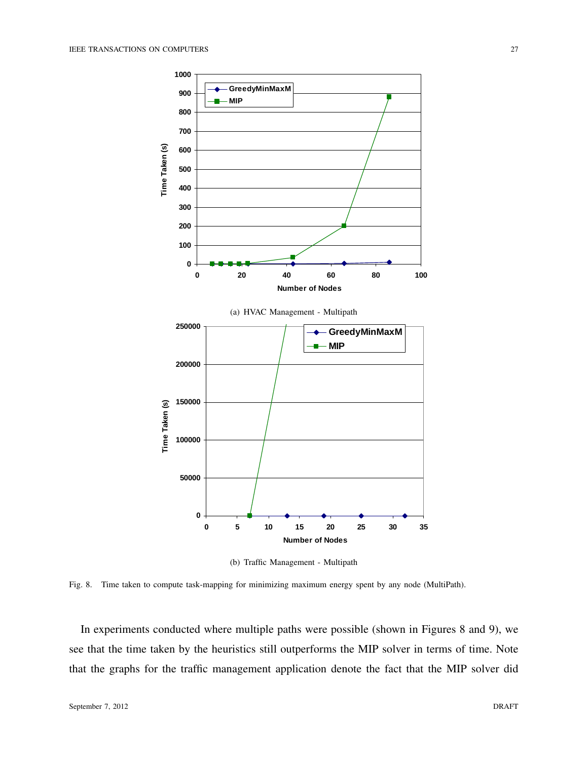

(b) Traffic Management - Multipath

Fig. 8. Time taken to compute task-mapping for minimizing maximum energy spent by any node (MultiPath).

In experiments conducted where multiple paths were possible (shown in Figures 8 and 9), we see that the time taken by the heuristics still outperforms the MIP solver in terms of time. Note that the graphs for the traffic management application denote the fact that the MIP solver did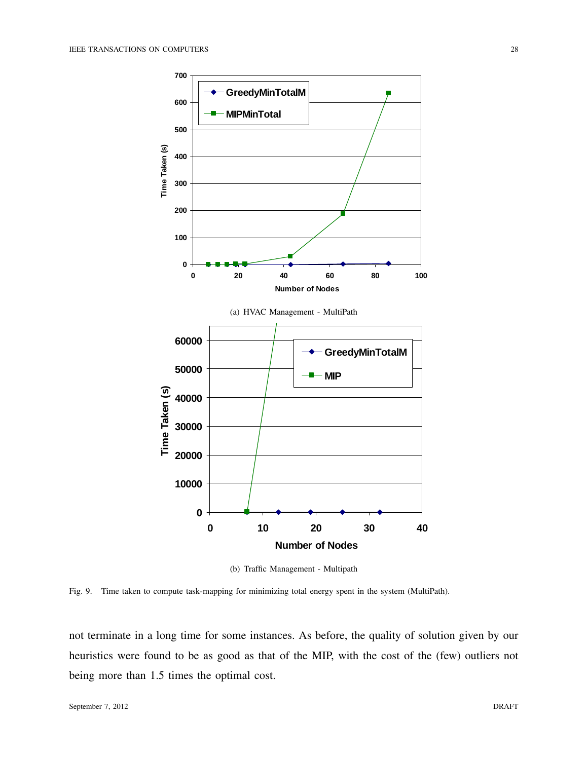

(b) Traffic Management - Multipath

Fig. 9. Time taken to compute task-mapping for minimizing total energy spent in the system (MultiPath).

not terminate in a long time for some instances. As before, the quality of solution given by our heuristics were found to be as good as that of the MIP, with the cost of the (few) outliers not being more than 1.5 times the optimal cost.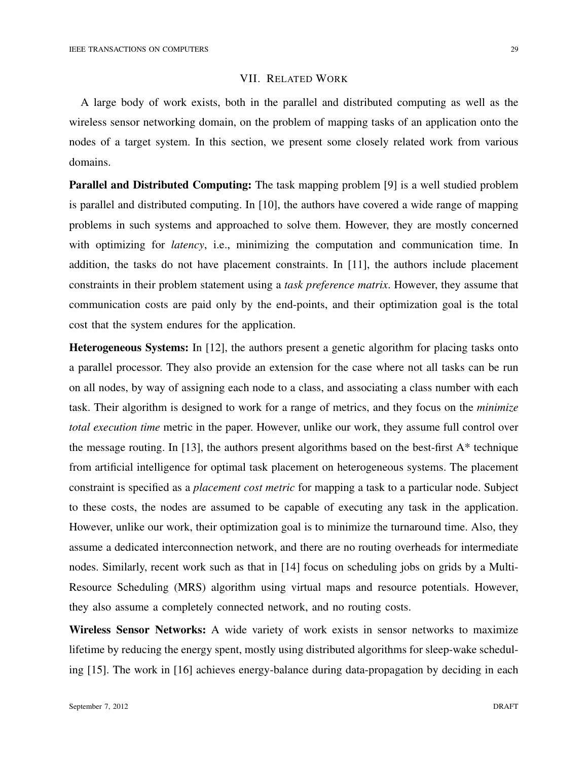# VII. RELATED WORK

A large body of work exists, both in the parallel and distributed computing as well as the wireless sensor networking domain, on the problem of mapping tasks of an application onto the nodes of a target system. In this section, we present some closely related work from various domains.

Parallel and Distributed Computing: The task mapping problem [9] is a well studied problem is parallel and distributed computing. In [10], the authors have covered a wide range of mapping problems in such systems and approached to solve them. However, they are mostly concerned with optimizing for *latency*, i.e., minimizing the computation and communication time. In addition, the tasks do not have placement constraints. In [11], the authors include placement constraints in their problem statement using a *task preference matrix*. However, they assume that communication costs are paid only by the end-points, and their optimization goal is the total cost that the system endures for the application.

Heterogeneous Systems: In [12], the authors present a genetic algorithm for placing tasks onto a parallel processor. They also provide an extension for the case where not all tasks can be run on all nodes, by way of assigning each node to a class, and associating a class number with each task. Their algorithm is designed to work for a range of metrics, and they focus on the *minimize total execution time* metric in the paper. However, unlike our work, they assume full control over the message routing. In [13], the authors present algorithms based on the best-first A\* technique from artificial intelligence for optimal task placement on heterogeneous systems. The placement constraint is specified as a *placement cost metric* for mapping a task to a particular node. Subject to these costs, the nodes are assumed to be capable of executing any task in the application. However, unlike our work, their optimization goal is to minimize the turnaround time. Also, they assume a dedicated interconnection network, and there are no routing overheads for intermediate nodes. Similarly, recent work such as that in [14] focus on scheduling jobs on grids by a Multi-Resource Scheduling (MRS) algorithm using virtual maps and resource potentials. However, they also assume a completely connected network, and no routing costs.

Wireless Sensor Networks: A wide variety of work exists in sensor networks to maximize lifetime by reducing the energy spent, mostly using distributed algorithms for sleep-wake scheduling [15]. The work in [16] achieves energy-balance during data-propagation by deciding in each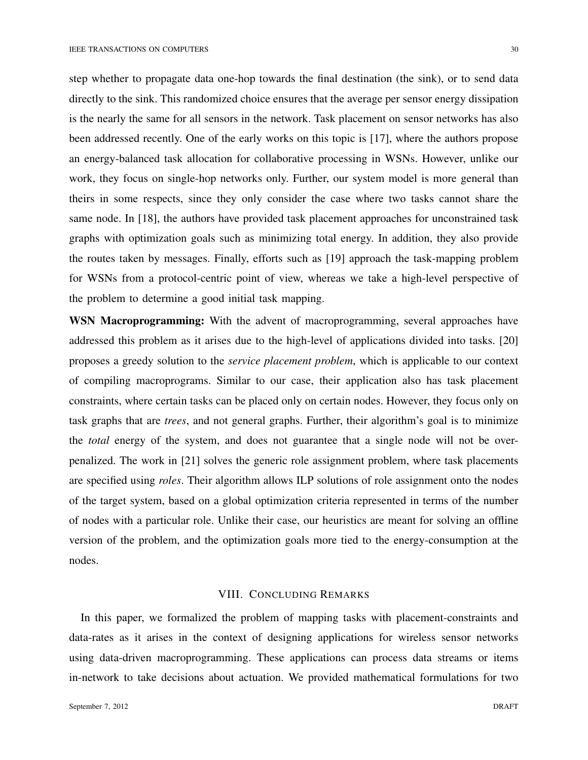step whether to propagate data one-hop towards the final destination (the sink), or to send data directly to the sink. This randomized choice ensures that the average per sensor energy dissipation is the nearly the same for all sensors in the network. Task placement on sensor networks has also been addressed recently. One of the early works on this topic is [17], where the authors propose an energy-balanced task allocation for collaborative processing in WSNs. However, unlike our work, they focus on single-hop networks only. Further, our system model is more general than theirs in some respects, since they only consider the case where two tasks cannot share the same node. In [18], the authors have provided task placement approaches for unconstrained task graphs with optimization goals such as minimizing total energy. In addition, they also provide the routes taken by messages. Finally, efforts such as [19] approach the task-mapping problem for WSNs from a protocol-centric point of view, whereas we take a high-level perspective of the problem to determine a good initial task mapping.

WSN Macroprogramming: With the advent of macroprogramming, several approaches have addressed this problem as it arises due to the high-level of applications divided into tasks. [20] proposes a greedy solution to the *service placement problem*, which is applicable to our context of compiling macroprograms. Similar to our case, their application also has task placement constraints, where certain tasks can be placed only on certain nodes. However, they focus only on task graphs that are *trees*, and not general graphs. Further, their algorithm's goal is to minimize the *total* energy of the system, and does not guarantee that a single node will not be overpenalized. The work in [21] solves the generic role assignment problem, where task placements are specified using *roles*. Their algorithm allows ILP solutions of role assignment onto the nodes of the target system, based on a global optimization criteria represented in terms of the number of nodes with a particular role. Unlike their case, our heuristics are meant for solving an offline version of the problem, and the optimization goals more tied to the energy-consumption at the nodes.

# VIII. CONCLUDING REMARKS

In this paper, we formalized the problem of mapping tasks with placement-constraints and data-rates as it arises in the context of designing applications for wireless sensor networks using data-driven macroprogramming. These applications can process data streams or items in-network to take decisions about actuation. We provided mathematical formulations for two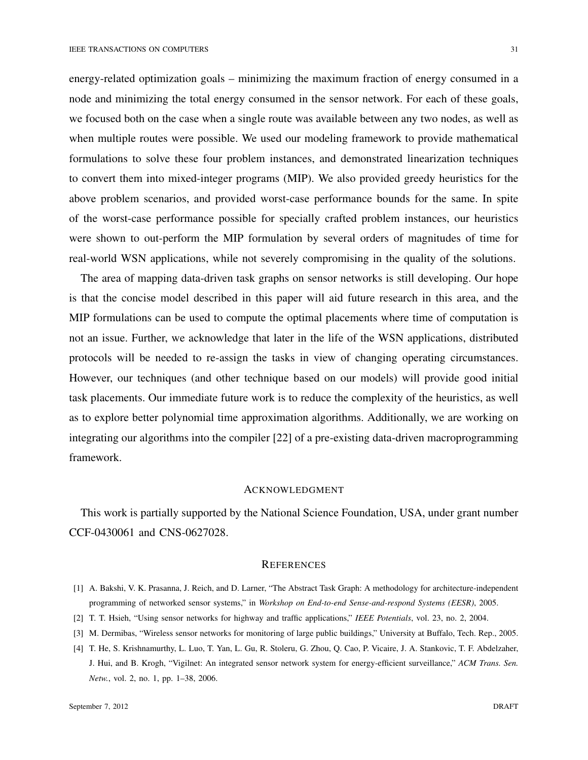energy-related optimization goals – minimizing the maximum fraction of energy consumed in a node and minimizing the total energy consumed in the sensor network. For each of these goals, we focused both on the case when a single route was available between any two nodes, as well as when multiple routes were possible. We used our modeling framework to provide mathematical formulations to solve these four problem instances, and demonstrated linearization techniques to convert them into mixed-integer programs (MIP). We also provided greedy heuristics for the above problem scenarios, and provided worst-case performance bounds for the same. In spite of the worst-case performance possible for specially crafted problem instances, our heuristics were shown to out-perform the MIP formulation by several orders of magnitudes of time for real-world WSN applications, while not severely compromising in the quality of the solutions.

The area of mapping data-driven task graphs on sensor networks is still developing. Our hope is that the concise model described in this paper will aid future research in this area, and the MIP formulations can be used to compute the optimal placements where time of computation is not an issue. Further, we acknowledge that later in the life of the WSN applications, distributed protocols will be needed to re-assign the tasks in view of changing operating circumstances. However, our techniques (and other technique based on our models) will provide good initial task placements. Our immediate future work is to reduce the complexity of the heuristics, as well as to explore better polynomial time approximation algorithms. Additionally, we are working on integrating our algorithms into the compiler [22] of a pre-existing data-driven macroprogramming framework.

# ACKNOWLEDGMENT

This work is partially supported by the National Science Foundation, USA, under grant number CCF-0430061 and CNS-0627028.

# **REFERENCES**

- [1] A. Bakshi, V. K. Prasanna, J. Reich, and D. Larner, "The Abstract Task Graph: A methodology for architecture-independent programming of networked sensor systems," in *Workshop on End-to-end Sense-and-respond Systems (EESR)*, 2005.
- [2] T. T. Hsieh, "Using sensor networks for highway and traffic applications," *IEEE Potentials*, vol. 23, no. 2, 2004.
- [3] M. Dermibas, "Wireless sensor networks for monitoring of large public buildings," University at Buffalo, Tech. Rep., 2005.
- [4] T. He, S. Krishnamurthy, L. Luo, T. Yan, L. Gu, R. Stoleru, G. Zhou, Q. Cao, P. Vicaire, J. A. Stankovic, T. F. Abdelzaher, J. Hui, and B. Krogh, "Vigilnet: An integrated sensor network system for energy-efficient surveillance," *ACM Trans. Sen. Netw.*, vol. 2, no. 1, pp. 1–38, 2006.